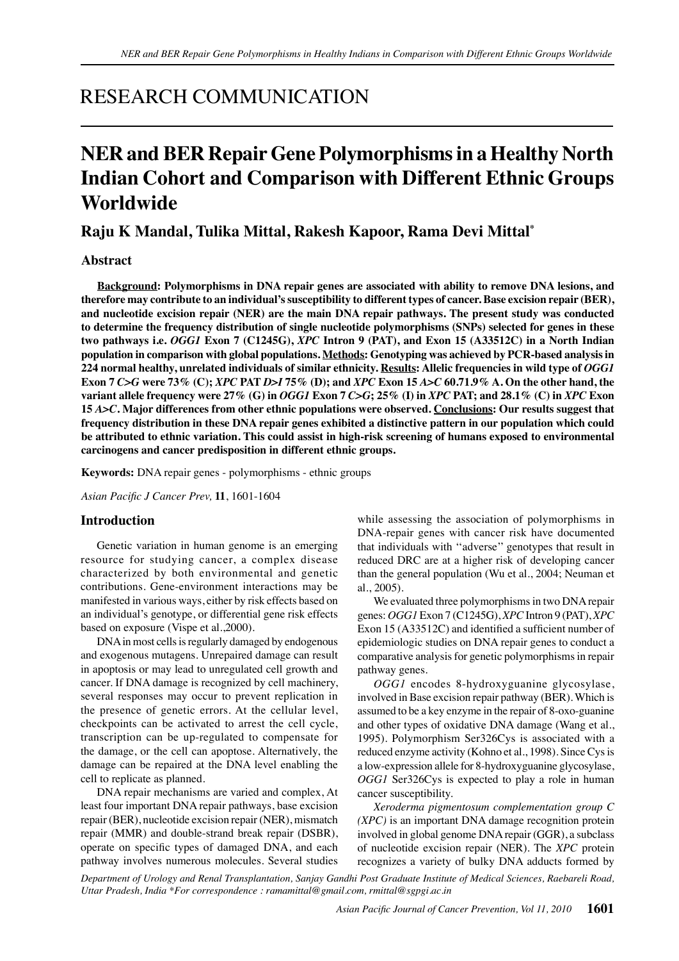## RESEARCH COMMUNICATION

# **NER and BER Repair Gene Polymorphisms in a Healthy North Indian Cohort and Comparison with Different Ethnic Groups Worldwide**

## **Raju K Mandal, Tulika Mittal, Rakesh Kapoor, Rama Devi Mittal\***

## **Abstract**

**Background: Polymorphisms in DNA repair genes are associated with ability to remove DNA lesions, and therefore may contribute to an individual's susceptibility to different types of cancer. Base excision repair (BER), and nucleotide excision repair (NER) are the main DNA repair pathways. The present study was conducted to determine the frequency distribution of single nucleotide polymorphisms (SNPs) selected for genes in these two pathways i.e.** *OGG1* **Exon 7 (C1245G),** *XPC* **Intron 9 (PAT), and Exon 15 (A33512C) in a North Indian population in comparison with global populations. Methods: Genotyping was achieved by PCR-based analysis in 224 normal healthy, unrelated individuals of similar ethnicity. Results: Allelic frequencies in wild type of** *OGG1* **Exon 7** *C>G* **were 73% (C);** *XPC* **PAT** *D>I* **75% (D); and** *XPC* **Exon 15** *A>C* **60.71.9% A. On the other hand, the variant allele frequency were 27% (G) in** *OGG1* **Exon 7** *C>G***; 25% (I) in** *XPC* **PAT; and 28.1% (C) in** *XPC* **Exon 15** *A>C***. Major differences from other ethnic populations were observed. Conclusions: Our results suggest that frequency distribution in these DNA repair genes exhibited a distinctive pattern in our population which could be attributed to ethnic variation. This could assist in high-risk screening of humans exposed to environmental carcinogens and cancer predisposition in different ethnic groups.**

**Keywords:** DNA repair genes - polymorphisms - ethnic groups

*Asian Pacific J Cancer Prev,* **11**, 1601-1604

#### **Introduction**

Genetic variation in human genome is an emerging resource for studying cancer, a complex disease characterized by both environmental and genetic contributions. Gene-environment interactions may be manifested in various ways, either by risk effects based on an individual's genotype, or differential gene risk effects based on exposure (Vispe et al.,2000).

DNA in most cells is regularly damaged by endogenous and exogenous mutagens. Unrepaired damage can result in apoptosis or may lead to unregulated cell growth and cancer. If DNA damage is recognized by cell machinery, several responses may occur to prevent replication in the presence of genetic errors. At the cellular level, checkpoints can be activated to arrest the cell cycle, transcription can be up-regulated to compensate for the damage, or the cell can apoptose. Alternatively, the damage can be repaired at the DNA level enabling the cell to replicate as planned.

DNA repair mechanisms are varied and complex, At least four important DNA repair pathways, base excision repair (BER), nucleotide excision repair (NER), mismatch repair (MMR) and double-strand break repair (DSBR), operate on specific types of damaged DNA, and each pathway involves numerous molecules. Several studies

while assessing the association of polymorphisms in DNA-repair genes with cancer risk have documented that individuals with ''adverse'' genotypes that result in reduced DRC are at a higher risk of developing cancer than the general population (Wu et al., 2004; Neuman et al., 2005).

We evaluated three polymorphisms in two DNA repair genes: *OGG1* Exon 7 (C1245G), *XPC* Intron 9 (PAT), *XPC* Exon 15 (A33512C) and identified a sufficient number of epidemiologic studies on DNA repair genes to conduct a comparative analysis for genetic polymorphisms in repair pathway genes.

*OGG1* encodes 8-hydroxyguanine glycosylase, involved in Base excision repair pathway (BER). Which is assumed to be a key enzyme in the repair of 8-oxo-guanine and other types of oxidative DNA damage (Wang et al., 1995). Polymorphism Ser326Cys is associated with a reduced enzyme activity (Kohno et al., 1998). Since Cys is a low-expression allele for 8-hydroxyguanine glycosylase, *OGG1* Ser326Cys is expected to play a role in human cancer susceptibility.

*Xeroderma pigmentosum complementation group C (XPC)* is an important DNA damage recognition protein involved in global genome DNA repair (GGR), a subclass of nucleotide excision repair (NER). The *XPC* protein recognizes a variety of bulky DNA adducts formed by

*Department of Urology and Renal Transplantation, Sanjay Gandhi Post Graduate Institute of Medical Sciences, Raebareli Road, Uttar Pradesh, India \*For correspondence : ramamittal@gmail.com, rmittal@sgpgi.ac.in*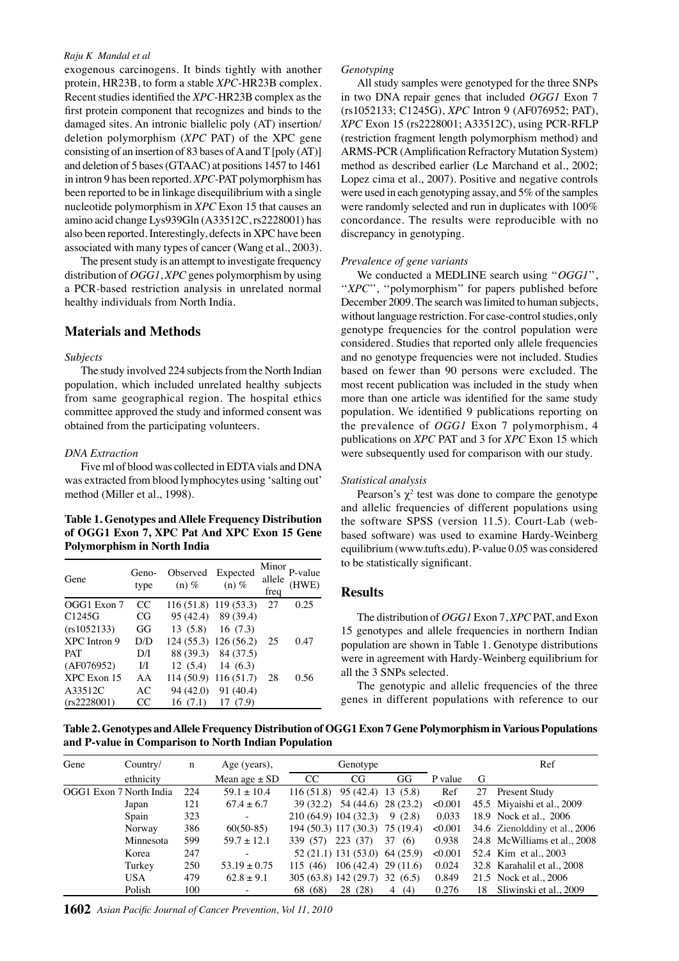#### *Raju K Mandal et al*

exogenous carcinogens. It binds tightly with another protein, HR23B, to form a stable *XPC*-HR23B complex. Recent studies identified the *XPC*-HR23B complex as the first protein component that recognizes and binds to the damaged sites. An intronic biallelic poly (AT) insertion/ deletion polymorphism (*XPC* PAT) of the XPC gene consisting of an insertion of 83 bases of A and T [poly (AT)] and deletion of 5 bases (GTAAC) at positions 1457 to 1461 in intron 9 has been reported. *XPC*-PAT polymorphism has been reported to be in linkage disequilibrium with a single nucleotide polymorphism in *XPC* Exon 15 that causes an amino acid change Lys939Gln (A33512C, rs2228001) has also been reported. Interestingly, defects in XPC have been associated with many types of cancer (Wang et al., 2003).

The present study is an attempt to investigate frequency distribution of *OGG1*, *XPC* genes polymorphism by using a PCR-based restriction analysis in unrelated normal healthy individuals from North India.

#### **Materials and Methods**

#### *Subjects*

The study involved 224 subjects from the North Indian population, which included unrelated healthy subjects from same geographical region. The hospital ethics committee approved the study and informed consent was obtained from the participating volunteers.

#### *DNA Extraction*

Five ml of blood was collected in EDTA vials and DNA was extracted from blood lymphocytes using 'salting out' method (Miller et al., 1998).

### **Table 1. Genotypes and Allele Frequency Distribution of OGG1 Exon 7, XPC Pat And XPC Exon 15 Gene Polymorphism in North India**

| Gene               | Geno-<br>type | Observed<br>$(n)$ % | Expected<br>$(n)$ %    | Minor<br>allele<br>freq | P-value<br>(HWE) |
|--------------------|---------------|---------------------|------------------------|-------------------------|------------------|
| OGG1 Exon 7        | CC            |                     | $116(51.8)$ 119 (53.3) | 27                      | 0.25             |
| C <sub>1245G</sub> | CG            |                     | 95 (42.4) 89 (39.4)    |                         |                  |
| (rs1052133)        | GG            | 13(5.8)             | 16(7.3)                |                         |                  |
| XPC Intron 9       | D/D           |                     | 124 (55.3) 126 (56.2)  | 25                      | 0.47             |
| <b>PAT</b>         | D/I           |                     | 88 (39.3) 84 (37.5)    |                         |                  |
| (AF076952)         | I/I           | 12(5.4)             | 14 $(6.3)$             |                         |                  |
| XPC Exon 15        | AA            |                     | $114(50.9)$ 116 (51.7) | 28                      | 0.56             |
| A33512C            | AC            | 94 (42.0)           | 91 (40.4)              |                         |                  |
| (rs2228001)        | CC            | 16 (7.1)            | 17 (7.9)               |                         |                  |

#### *Genotyping*

All study samples were genotyped for the three SNPs in two DNA repair genes that included *OGG1* Exon 7 (rs1052133; C1245G), *XPC* Intron 9 (AF076952; PAT), *XPC* Exon 15 (rs2228001; A33512C), using PCR-RFLP (restriction fragment length polymorphism method) and ARMS-PCR (Amplification Refractory Mutation System) method as described earlier (Le Marchand et al., 2002; Lopez cima et al., 2007). Positive and negative controls were used in each genotyping assay, and 5% of the samples were randomly selected and run in duplicates with 100% concordance. The results were reproducible with no discrepancy in genotyping.

#### *Prevalence of gene variants*

We conducted a MEDLINE search using ''*OGG1*'', "*XPC*", "polymorphism" for papers published before December 2009. The search was limited to human subjects, without language restriction. For case-control studies, only genotype frequencies for the control population were considered. Studies that reported only allele frequencies and no genotype frequencies were not included. Studies based on fewer than 90 persons were excluded. The most recent publication was included in the study when more than one article was identified for the same study population. We identified 9 publications reporting on the prevalence of *OGG1* Exon 7 polymorphism, 4 publications on *XPC* PAT and 3 for *XPC* Exon 15 which were subsequently used for comparison with our study.

#### *Statistical analysis*

Pearson's  $\chi^2$  test was done to compare the genotype and allelic frequencies of different populations using the software SPSS (version 11.5). Court-Lab (webbased software) was used to examine Hardy-Weinberg equilibrium (www.tufts.edu). P-value 0.05 was considered to be statistically significant.

#### **Results**

The distribution of *OGG1* Exon 7, *XPC* PAT, and Exon 15 genotypes and allele frequencies in northern Indian population are shown in Table 1. Genotype distributions were in agreement with Hardy-Weinberg equilibrium for all the 3 SNPs selected.

The genotypic and allelic frequencies of the three genes in different populations with reference to our

**Table 2. Genotypes and Allele Frequency Distribution of OGG1 Exon 7 Gene Polymorphism in Various Populations and P-value in Comparison to North Indian Population**

| Gene | Country/                | n   | Age (years),      | Genotype              |                                |                     |         |    | Ref                           |
|------|-------------------------|-----|-------------------|-----------------------|--------------------------------|---------------------|---------|----|-------------------------------|
|      | ethnicity               |     | Mean age $\pm$ SD | CC.                   | CG                             | GG                  | P value | G  |                               |
|      | OGG1 Exon 7 North India | 224 | $59.1 \pm 10.4$   | 116(51.8)             | 95 (42.4)                      | 13(5.8)             | Ref     | 27 | Present Study                 |
|      | Japan                   | 121 | $67.4 \pm 6.7$    | 39 (32.2)             |                                | 54 (44.6) 28 (23.2) | < 0.001 |    | 45.5 Miyaishi et al., 2009    |
|      | Spain                   | 323 |                   | 210 (64.9) 104 (32.3) |                                | 9(2.8)              | 0.033   |    | 18.9 Nock et al., 2006        |
|      | Norway                  | 386 | $60(50-85)$       |                       | 194 (50.3) 117 (30.3)          | 75 (19.4)           | < 0.001 |    | 34.6 Zienolddiny et al., 2006 |
|      | Minnesota               | 599 | $59.7 \pm 12.1$   | 339 (57)              | 223 (37)                       | 37<br>(6)           | 0.938   |    | 24.8 McWilliams et al., 2008  |
|      | Korea                   | 247 |                   |                       | 52 (21.1) 131 (53.0) 64 (25.9) |                     | < 0.001 |    | 52.4 Kim et al., 2003         |
|      | Turkey                  | 250 | $53.19 \pm 0.75$  | 115(46)               | $106(42.4)$ 29 (11.6)          |                     | 0.024   |    | 32.8 Karahalil et al., 2008   |
|      | <b>USA</b>              | 479 | $62.8 \pm 9.1$    |                       | 305 (63.8) 142 (29.7)          | 32(6.5)             | 0.849   |    | 21.5 Nock et al., 2006        |
|      | Polish                  | 100 |                   | 68 (68)               | 28 (28)                        | 4(4)                | 0.276   | 18 | Sliwinski et al., 2009        |

**1602** *Asian Pacific Journal of Cancer Prevention, Vol 11, 2010*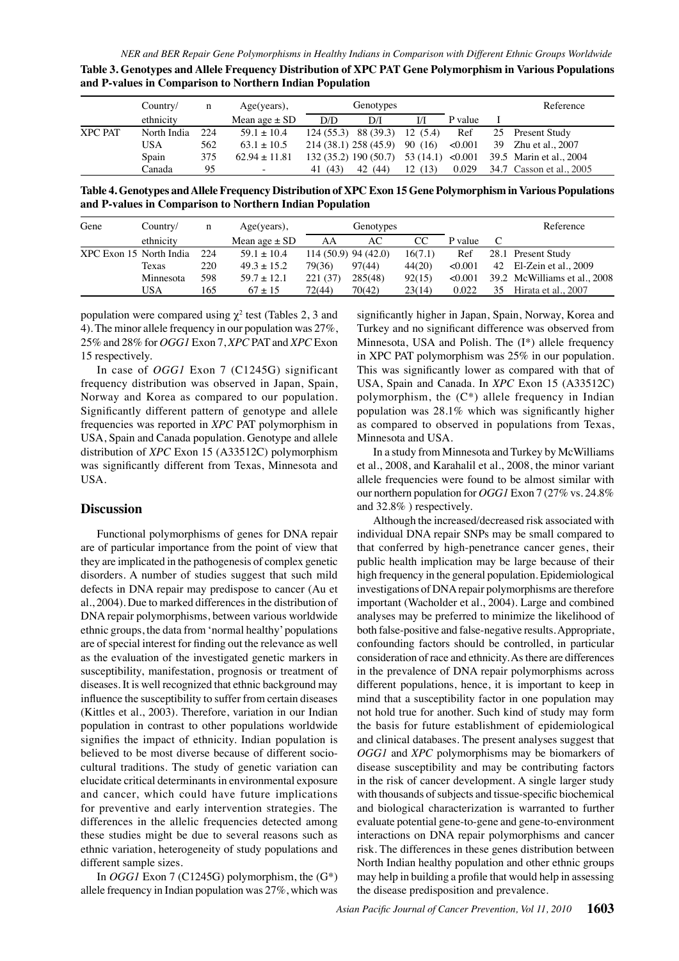| Table 3. Genotypes and Allele Frequency Distribution of XPC PAT Gene Polymorphism in Various Populations |  |
|----------------------------------------------------------------------------------------------------------|--|
| and P-values in Comparison to Northern Indian Population                                                 |  |

|                | Country/    | n   | $Age(years)$ ,           |                       | Genotypes |           |         |    | Reference                |
|----------------|-------------|-----|--------------------------|-----------------------|-----------|-----------|---------|----|--------------------------|
|                | ethnicity   |     | Mean age $\pm$ SD        | D/D                   | D/I       | I/I       | P value |    |                          |
| <b>XPC PAT</b> | North India | 224 | $59.1 \pm 10.4$          | 124(55.3)             | 88 (39.3) | 12(5.4)   | Ref     | 25 | Present Study            |
|                | USA         | 562 | $63.1 \pm 10.5$          | 214 (38.1) 258 (45.9) |           | 90 (16)   | < 0.001 | 39 | Zhu et al., 2007         |
|                | Spain       | 375 | $62.94 \pm 11.81$        | 132 (35.2) 190 (50.7) |           | 53 (14.1) | < 0.001 |    | 39.5 Marin et al., 2004  |
|                | Canada      | 95  | $\overline{\phantom{a}}$ | (43)<br>41            | 42 (44)   | 12(13)    | 0.029   |    | 34.7 Casson et al., 2005 |

**Table 4. Genotypes and Allele Frequency Distribution of XPC Exon 15 Gene Polymorphism in Various Populations and P-values in Comparison to Northern Indian Population**

| Gene                    | Country/  | n   | $Age(years)$ ,    | Genotypes |                       |         |         |    | Reference                    |
|-------------------------|-----------|-----|-------------------|-----------|-----------------------|---------|---------|----|------------------------------|
|                         | ethnicity |     | Mean age $\pm$ SD | AA        | AC.                   | CC      | P value |    |                              |
| XPC Exon 15 North India |           | 224 | $59.1 \pm 10.4$   |           | $114(50.9)$ 94 (42.0) | 16(7.1) | Ref     |    | 28.1 Present Study           |
|                         | Texas     | 220 | $49.3 \pm 15.2$   | 79(36)    | 97(44)                | 44(20)  | < 0.001 | 42 | El-Zein et al., 2009         |
|                         | Minnesota | 598 | $59.7 \pm 12.1$   | 221(37)   | 285(48)               | 92(15)  | < 0.001 |    | 39.2 McWilliams et al., 2008 |
|                         | USA       | 165 | $67 + 15$         | 72(44)    | 70(42)                | 23(14)  | 0.022   | 35 | Hirata et al., 2007          |

population were compared using  $\chi^2$  test (Tables 2, 3 and 4). The minor allele frequency in our population was 27%, 25% and 28% for *OGG1* Exon 7, *XPC* PAT and *XPC* Exon 15 respectively.

In case of *OGG1* Exon 7 (C1245G) significant frequency distribution was observed in Japan, Spain, Norway and Korea as compared to our population. Significantly different pattern of genotype and allele frequencies was reported in *XPC* PAT polymorphism in USA, Spain and Canada population. Genotype and allele distribution of *XPC* Exon 15 (A33512C) polymorphism was significantly different from Texas, Minnesota and USA.

#### **Discussion**

Functional polymorphisms of genes for DNA repair are of particular importance from the point of view that they are implicated in the pathogenesis of complex genetic disorders. A number of studies suggest that such mild defects in DNA repair may predispose to cancer (Au et al., 2004). Due to marked differences in the distribution of DNA repair polymorphisms, between various worldwide ethnic groups, the data from 'normal healthy' populations are of special interest for finding out the relevance as well as the evaluation of the investigated genetic markers in susceptibility, manifestation, prognosis or treatment of diseases. It is well recognized that ethnic background may influence the susceptibility to suffer from certain diseases (Kittles et al., 2003). Therefore, variation in our Indian population in contrast to other populations worldwide signifies the impact of ethnicity. Indian population is believed to be most diverse because of different sociocultural traditions. The study of genetic variation can elucidate critical determinants in environmental exposure and cancer, which could have future implications for preventive and early intervention strategies. The differences in the allelic frequencies detected among these studies might be due to several reasons such as ethnic variation, heterogeneity of study populations and different sample sizes.

In *OGG1* Exon 7 (C1245G) polymorphism, the (G\*) allele frequency in Indian population was 27%, which was

50.0 75.0 Minnesota, USA and Polish. The (I\*) allele frequency<sub>100.0</sub> significantly higher in Japan, Spain, Norway, Korea and Turkey and no significant difference was observed from in XPC PAT polymorphism was 25% in our population. This was significantly lower as compared with that of USA, Spain and Canada. In *XPC* Exon 15 (A33512C) polymorphism, the (C\*) allele frequency in Indian population was 28.1% which was significantly higher as compared to observed in populations from Texas, Minnesota and USA.

allele frequencies were found to be almost similar with  $25.0$ <br>authorithera population for  $OCL$  Exam  $7.07\%$  year  $24.8\%$ In a study from Minnesota and Turkey by McWilliams et al., 2008, and Karahalil et al., 2008, the minor variant our northern population for *OGG1* Exon 7 (27% vs. 24.8% and 32.8% ) respectively.

Although the increased/decreased risk associated with individual DNA repair SNPs may be small compared to that conferred by high-penetrance cancer genes, their public health implication may be large because of their high frequency in the general population. Epidemiological investigations of DNA repair polymorphisms are therefore important (Wacholder et al., 2004). Large and combined analyses may be preferred to minimize the likelihood of both false-positive and false-negative results. Appropriate, confounding factors should be controlled, in particular consideration of race and ethnicity. As there are differences in the prevalence of DNA repair polymorphisms across different populations, hence, it is important to keep in mind that a susceptibility factor in one population may not hold true for another. Such kind of study may form the basis for future establishment of epidemiological and clinical databases. The present analyses suggest that *OGG1* and *XPC* polymorphisms may be biomarkers of disease susceptibility and may be contributing factors in the risk of cancer development. A single larger study with thousands of subjects and tissue-specific biochemical and biological characterization is warranted to further evaluate potential gene-to-gene and gene-to-environment interactions on DNA repair polymorphisms and cancer risk. The differences in these genes distribution between North Indian healthy population and other ethnic groups may help in building a profile that would help in assessing the disease predisposition and prevalence.

**20.3 6.3 10.1**

**46.8 56.3**

**38.0 31.3**

0